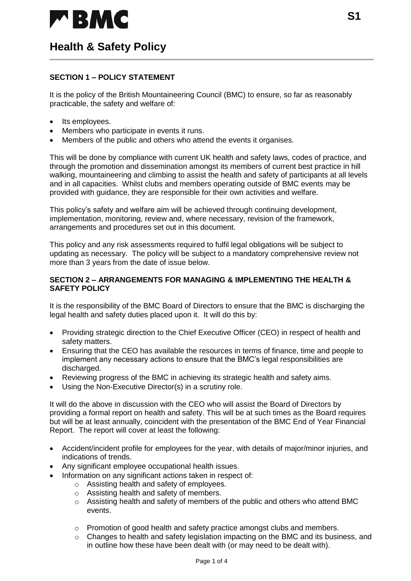

### **SECTION 1 – POLICY STATEMENT**

It is the policy of the British Mountaineering Council (BMC) to ensure, so far as reasonably practicable, the safety and welfare of:

- Its employees.
- Members who participate in events it runs.
- Members of the public and others who attend the events it organises.

This will be done by compliance with current UK health and safety laws, codes of practice, and through the promotion and dissemination amongst its members of current best practice in hill walking, mountaineering and climbing to assist the health and safety of participants at all levels and in all capacities. Whilst clubs and members operating outside of BMC events may be provided with guidance, they are responsible for their own activities and welfare.

This policy's safety and welfare aim will be achieved through continuing development, implementation, monitoring, review and, where necessary, revision of the framework, arrangements and procedures set out in this document.

This policy and any risk assessments required to fulfil legal obligations will be subject to updating as necessary. The policy will be subject to a mandatory comprehensive review not more than 3 years from the date of issue below.

#### **SECTION 2 – ARRANGEMENTS FOR MANAGING & IMPLEMENTING THE HEALTH & SAFETY POLICY**

It is the responsibility of the BMC Board of Directors to ensure that the BMC is discharging the legal health and safety duties placed upon it. It will do this by:

- Providing strategic direction to the Chief Executive Officer (CEO) in respect of health and safety matters.
- Ensuring that the CEO has available the resources in terms of finance, time and people to implement any necessary actions to ensure that the BMC's legal responsibilities are discharged.
- Reviewing progress of the BMC in achieving its strategic health and safety aims.
- Using the Non-Executive Director(s) in a scrutiny role.

It will do the above in discussion with the CEO who will assist the Board of Directors by providing a formal report on health and safety. This will be at such times as the Board requires but will be at least annually, coincident with the presentation of the BMC End of Year Financial Report. The report will cover at least the following:

- Accident/incident profile for employees for the year, with details of major/minor injuries, and indications of trends.
- Any significant employee occupational health issues.
- Information on any significant actions taken in respect of:
	- o Assisting health and safety of employees.
	- o Assisting health and safety of members.
	- o Assisting health and safety of members of the public and others who attend BMC events.
	- o Promotion of good health and safety practice amongst clubs and members.
	- $\circ$  Changes to health and safety legislation impacting on the BMC and its business, and in outline how these have been dealt with (or may need to be dealt with).

**S1**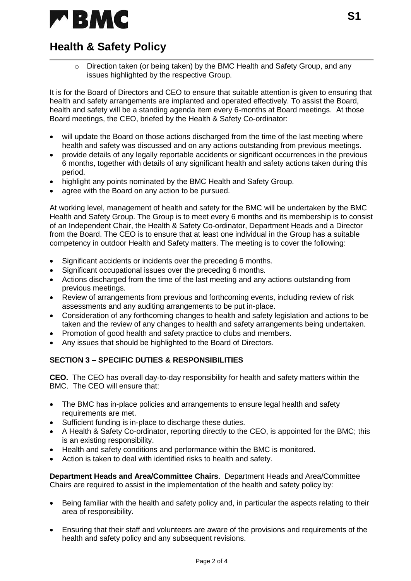

 $\circ$  Direction taken (or being taken) by the BMC Health and Safety Group, and any issues highlighted by the respective Group.

It is for the Board of Directors and CEO to ensure that suitable attention is given to ensuring that health and safety arrangements are implanted and operated effectively. To assist the Board, health and safety will be a standing agenda item every 6-months at Board meetings. At those Board meetings, the CEO, briefed by the Health & Safety Co-ordinator:

- will update the Board on those actions discharged from the time of the last meeting where health and safety was discussed and on any actions outstanding from previous meetings.
- provide details of any legally reportable accidents or significant occurrences in the previous 6 months, together with details of any significant health and safety actions taken during this period.
- highlight any points nominated by the BMC Health and Safety Group.
- agree with the Board on any action to be pursued.

At working level, management of health and safety for the BMC will be undertaken by the BMC Health and Safety Group. The Group is to meet every 6 months and its membership is to consist of an Independent Chair, the Health & Safety Co-ordinator, Department Heads and a Director from the Board. The CEO is to ensure that at least one individual in the Group has a suitable competency in outdoor Health and Safety matters. The meeting is to cover the following:

- Significant accidents or incidents over the preceding 6 months.
- Significant occupational issues over the preceding 6 months.
- Actions discharged from the time of the last meeting and any actions outstanding from previous meetings.
- Review of arrangements from previous and forthcoming events, including review of risk assessments and any auditing arrangements to be put in-place.
- Consideration of any forthcoming changes to health and safety legislation and actions to be taken and the review of any changes to health and safety arrangements being undertaken.
- Promotion of good health and safety practice to clubs and members.
- Any issues that should be highlighted to the Board of Directors.

### **SECTION 3 – SPECIFIC DUTIES & RESPONSIBILITIES**

**CEO.** The CEO has overall day-to-day responsibility for health and safety matters within the BMC. The CEO will ensure that:

- The BMC has in-place policies and arrangements to ensure legal health and safety requirements are met.
- Sufficient funding is in-place to discharge these duties.
- A Health & Safety Co-ordinator, reporting directly to the CEO, is appointed for the BMC; this is an existing responsibility.
- Health and safety conditions and performance within the BMC is monitored.
- Action is taken to deal with identified risks to health and safety.

**Department Heads and Area/Committee Chairs**. Department Heads and Area/Committee Chairs are required to assist in the implementation of the health and safety policy by:

- Being familiar with the health and safety policy and, in particular the aspects relating to their area of responsibility.
- Ensuring that their staff and volunteers are aware of the provisions and requirements of the health and safety policy and any subsequent revisions.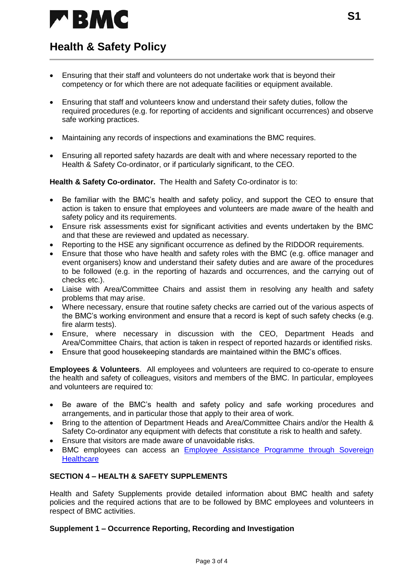

- Ensuring that their staff and volunteers do not undertake work that is beyond their competency or for which there are not adequate facilities or equipment available.
- Ensuring that staff and volunteers know and understand their safety duties, follow the required procedures (e.g. for reporting of accidents and significant occurrences) and observe safe working practices.
- Maintaining any records of inspections and examinations the BMC requires.
- Ensuring all reported safety hazards are dealt with and where necessary reported to the Health & Safety Co-ordinator, or if particularly significant, to the CEO.

**Health & Safety Co-ordinator.** The Health and Safety Co-ordinator is to:

- Be familiar with the BMC's health and safety policy, and support the CEO to ensure that action is taken to ensure that employees and volunteers are made aware of the health and safety policy and its requirements.
- Ensure risk assessments exist for significant activities and events undertaken by the BMC and that these are reviewed and updated as necessary.
- Reporting to the HSE any significant occurrence as defined by the RIDDOR requirements.
- Ensure that those who have health and safety roles with the BMC (e.g. office manager and event organisers) know and understand their safety duties and are aware of the procedures to be followed (e.g. in the reporting of hazards and occurrences, and the carrying out of checks etc.).
- Liaise with Area/Committee Chairs and assist them in resolving any health and safety problems that may arise.
- Where necessary, ensure that routine safety checks are carried out of the various aspects of the BMC's working environment and ensure that a record is kept of such safety checks (e.g. fire alarm tests).
- Ensure, where necessary in discussion with the CEO, Department Heads and Area/Committee Chairs, that action is taken in respect of reported hazards or identified risks.
- Ensure that good housekeeping standards are maintained within the BMC's offices.

**Employees & Volunteers**. All employees and volunteers are required to co-operate to ensure the health and safety of colleagues, visitors and members of the BMC. In particular, employees and volunteers are required to:

- Be aware of the BMC's health and safety policy and safe working procedures and arrangements, and in particular those that apply to their area of work.
- Bring to the attention of Department Heads and Area/Committee Chairs and/or the Health & Safety Co-ordinator any equipment with defects that constitute a risk to health and safety.
- Ensure that visitors are made aware of unavoidable risks.
- BMC employees can access an [Employee Assistance Programme through Sovereign](https://www.sovereignhealthcare.co.uk/business/employer-paid/asset/employee-assistance-programme)  **[Healthcare](https://www.sovereignhealthcare.co.uk/business/employer-paid/asset/employee-assistance-programme)**

### **SECTION 4 – HEALTH & SAFETY SUPPLEMENTS**

Health and Safety Supplements provide detailed information about BMC health and safety policies and the required actions that are to be followed by BMC employees and volunteers in respect of BMC activities.

#### **Supplement 1 – Occurrence Reporting, Recording and Investigation**